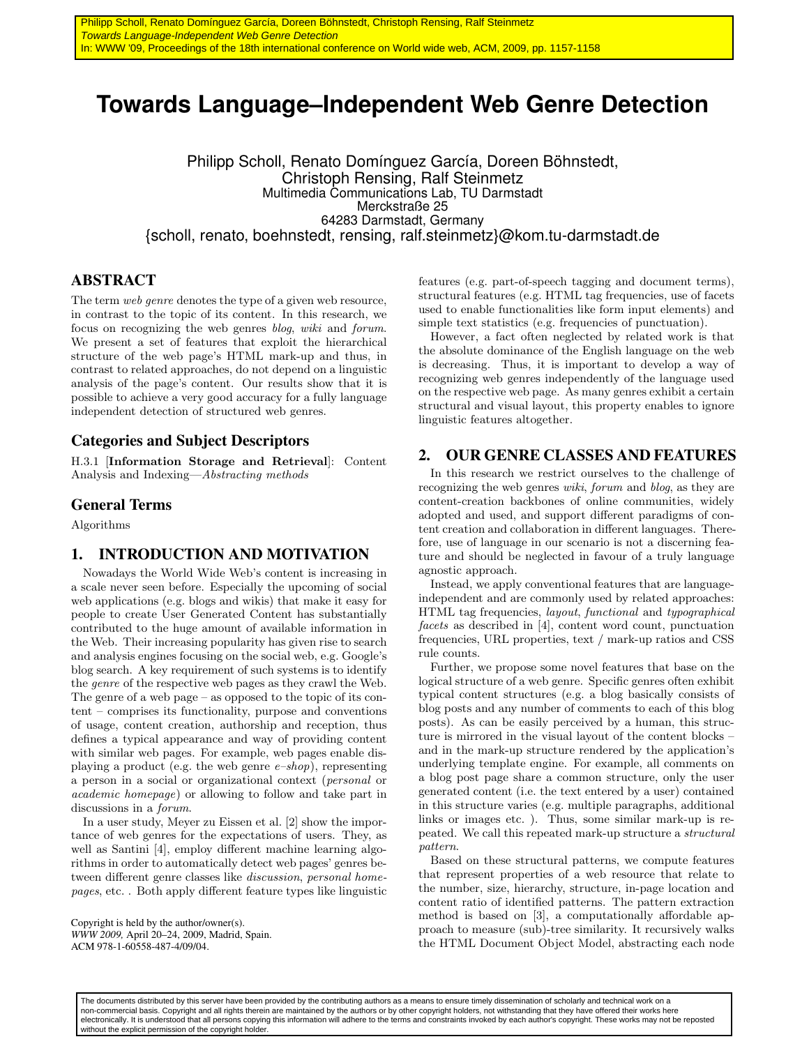# **Towards Language–Independent Web Genre Detection**

Philipp Scholl, Renato Domínguez García, Doreen Böhnstedt, Christoph Rensing, Ralf Steinmetz Multimedia Communications Lab, TU Darmstadt Merckstraße 25 64283 Darmstadt, Germany {scholl, renato, boehnstedt, rensing, ralf.steinmetz}@kom.tu-darmstadt.de

## ABSTRACT

The term web genre denotes the type of a given web resource, in contrast to the topic of its content. In this research, we focus on recognizing the web genres blog, wiki and forum. We present a set of features that exploit the hierarchical structure of the web page's HTML mark-up and thus, in contrast to related approaches, do not depend on a linguistic analysis of the page's content. Our results show that it is possible to achieve a very good accuracy for a fully language independent detection of structured web genres.

### Categories and Subject Descriptors

H.3.1 [Information Storage and Retrieval]: Content Analysis and Indexing—Abstracting methods

#### General Terms

Algorithms

#### 1. INTRODUCTION AND MOTIVATION

Nowadays the World Wide Web's content is increasing in a scale never seen before. Especially the upcoming of social web applications (e.g. blogs and wikis) that make it easy for people to create User Generated Content has substantially contributed to the huge amount of available information in the Web. Their increasing popularity has given rise to search and analysis engines focusing on the social web, e.g. Google's blog search. A key requirement of such systems is to identify the genre of the respective web pages as they crawl the Web. The genre of a web page – as opposed to the topic of its content – comprises its functionality, purpose and conventions of usage, content creation, authorship and reception, thus defines a typical appearance and way of providing content with similar web pages. For example, web pages enable displaying a product (e.g. the web genre  $e$ -shop), representing a person in a social or organizational context (personal or academic homepage) or allowing to follow and take part in discussions in a forum.

In a user study, Meyer zu Eissen et al. [2] show the importance of web genres for the expectations of users. They, as well as Santini [4], employ different machine learning algorithms in order to automatically detect web pages' genres between different genre classes like discussion, personal homepages, etc. . Both apply different feature types like linguistic

Copyright is held by the author/owner(s). *WWW 2009,* April 20–24, 2009, Madrid, Spain. ACM 978-1-60558-487-4/09/04.

features (e.g. part-of-speech tagging and document terms), structural features (e.g. HTML tag frequencies, use of facets used to enable functionalities like form input elements) and simple text statistics (e.g. frequencies of punctuation).

However, a fact often neglected by related work is that the absolute dominance of the English language on the web is decreasing. Thus, it is important to develop a way of recognizing web genres independently of the language used on the respective web page. As many genres exhibit a certain structural and visual layout, this property enables to ignore linguistic features altogether.

### 2. OUR GENRE CLASSES AND FEATURES

In this research we restrict ourselves to the challenge of recognizing the web genres *wiki*, forum and blog, as they are content-creation backbones of online communities, widely adopted and used, and support different paradigms of content creation and collaboration in different languages. Therefore, use of language in our scenario is not a discerning feature and should be neglected in favour of a truly language agnostic approach.

Instead, we apply conventional features that are languageindependent and are commonly used by related approaches: HTML tag frequencies, layout, functional and typographical facets as described in [4], content word count, punctuation frequencies, URL properties, text / mark-up ratios and CSS rule counts.

Further, we propose some novel features that base on the logical structure of a web genre. Specific genres often exhibit typical content structures (e.g. a blog basically consists of blog posts and any number of comments to each of this blog posts). As can be easily perceived by a human, this structure is mirrored in the visual layout of the content blocks – and in the mark-up structure rendered by the application's underlying template engine. For example, all comments on a blog post page share a common structure, only the user generated content (i.e. the text entered by a user) contained in this structure varies (e.g. multiple paragraphs, additional links or images etc. ). Thus, some similar mark-up is repeated. We call this repeated mark-up structure a structural pattern.

Based on these structural patterns, we compute features that represent properties of a web resource that relate to the number, size, hierarchy, structure, in-page location and content ratio of identified patterns. The pattern extraction method is based on [3], a computationally affordable approach to measure (sub)-tree similarity. It recursively walks the HTML Document Object Model, abstracting each node

The documents distributed by this server have been provided by the contributing authors as a means to ensure timely dissemination of scholarly and technical work on a non-commercial basis. Copyright and all rights therein are maintained by the authors or by other copyright holders, not withstanding that they have offered their works here electronically. It is understood that all persons copying this information will adhere to the terms and constraints invoked by each author's copyright. These works may not be reposted without the explicit permission of the copyright holder.